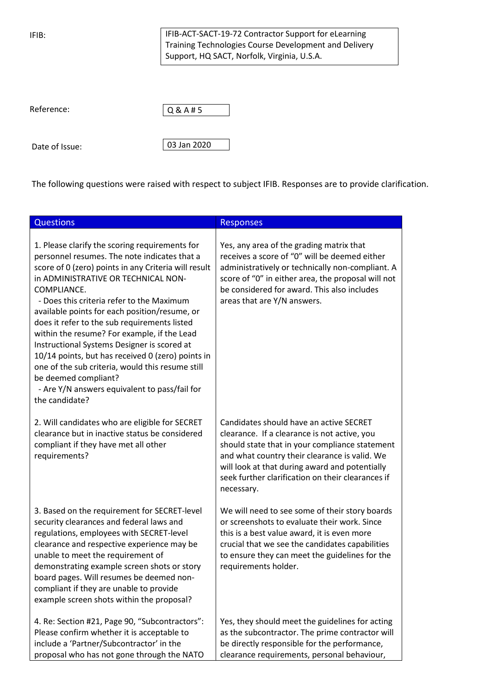IFIB:

Date of Issue:

IFIB-ACT-SACT-19-72 Contractor Support for eLearning Training Technologies Course Development and Delivery Support, HQ SACT, Norfolk, Virginia, U.S.A.

| Reference: | QQ <sub>4</sub> |
|------------|-----------------|
|            |                 |
|            |                 |

The following questions were raised with respect to subject IFIB. Responses are to provide clarification.

03 Jan 2020

| <b>Questions</b>                                                                                                                                                                                                                                                                                                                                                                                                                                                                                                                                                                                                                                             | <b>Responses</b>                                                                                                                                                                                                                                                                                                |
|--------------------------------------------------------------------------------------------------------------------------------------------------------------------------------------------------------------------------------------------------------------------------------------------------------------------------------------------------------------------------------------------------------------------------------------------------------------------------------------------------------------------------------------------------------------------------------------------------------------------------------------------------------------|-----------------------------------------------------------------------------------------------------------------------------------------------------------------------------------------------------------------------------------------------------------------------------------------------------------------|
| 1. Please clarify the scoring requirements for<br>personnel resumes. The note indicates that a<br>score of 0 (zero) points in any Criteria will result<br>in ADMINISTRATIVE OR TECHNICAL NON-<br>COMPLIANCE.<br>- Does this criteria refer to the Maximum<br>available points for each position/resume, or<br>does it refer to the sub requirements listed<br>within the resume? For example, if the Lead<br>Instructional Systems Designer is scored at<br>10/14 points, but has received 0 (zero) points in<br>one of the sub criteria, would this resume still<br>be deemed compliant?<br>- Are Y/N answers equivalent to pass/fail for<br>the candidate? | Yes, any area of the grading matrix that<br>receives a score of "0" will be deemed either<br>administratively or technically non-compliant. A<br>score of "0" in either area, the proposal will not<br>be considered for award. This also includes<br>areas that are Y/N answers.                               |
| 2. Will candidates who are eligible for SECRET<br>clearance but in inactive status be considered<br>compliant if they have met all other<br>requirements?                                                                                                                                                                                                                                                                                                                                                                                                                                                                                                    | Candidates should have an active SECRET<br>clearance. If a clearance is not active, you<br>should state that in your compliance statement<br>and what country their clearance is valid. We<br>will look at that during award and potentially<br>seek further clarification on their clearances if<br>necessary. |
| 3. Based on the requirement for SECRET-level<br>security clearances and federal laws and<br>regulations, employees with SECRET-level<br>clearance and respective experience may be<br>unable to meet the requirement of<br>demonstrating example screen shots or story<br>board pages. Will resumes be deemed non-<br>compliant if they are unable to provide<br>example screen shots within the proposal?                                                                                                                                                                                                                                                   | We will need to see some of their story boards<br>or screenshots to evaluate their work. Since<br>this is a best value award, it is even more<br>crucial that we see the candidates capabilities<br>to ensure they can meet the guidelines for the<br>requirements holder.                                      |
| 4. Re: Section #21, Page 90, "Subcontractors":<br>Please confirm whether it is acceptable to<br>include a 'Partner/Subcontractor' in the<br>proposal who has not gone through the NATO                                                                                                                                                                                                                                                                                                                                                                                                                                                                       | Yes, they should meet the guidelines for acting<br>as the subcontractor. The prime contractor will<br>be directly responsible for the performance,<br>clearance requirements, personal behaviour,                                                                                                               |